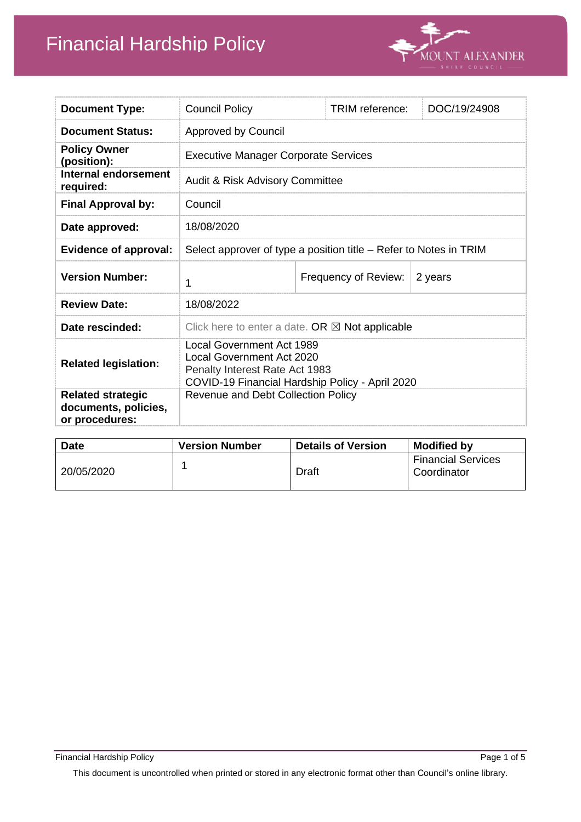

| <b>Document Type:</b>                                              | <b>Council Policy</b>                                                                                                                              |  | TRIM reference:      | DOC/19/24908 |
|--------------------------------------------------------------------|----------------------------------------------------------------------------------------------------------------------------------------------------|--|----------------------|--------------|
| <b>Document Status:</b>                                            | <b>Approved by Council</b>                                                                                                                         |  |                      |              |
| <b>Policy Owner</b><br>(position):                                 | <b>Executive Manager Corporate Services</b>                                                                                                        |  |                      |              |
| Internal endorsement<br>required:                                  | <b>Audit &amp; Risk Advisory Committee</b>                                                                                                         |  |                      |              |
| <b>Final Approval by:</b>                                          | Council                                                                                                                                            |  |                      |              |
| Date approved:                                                     | 18/08/2020                                                                                                                                         |  |                      |              |
| <b>Evidence of approval:</b>                                       | Select approver of type a position title - Refer to Notes in TRIM                                                                                  |  |                      |              |
| <b>Version Number:</b>                                             | 1                                                                                                                                                  |  | Frequency of Review: | 2 years      |
| <b>Review Date:</b>                                                | 18/08/2022                                                                                                                                         |  |                      |              |
| Date rescinded:                                                    | Click here to enter a date. OR $\boxtimes$ Not applicable                                                                                          |  |                      |              |
| <b>Related legislation:</b>                                        | Local Government Act 1989<br><b>Local Government Act 2020</b><br>Penalty Interest Rate Act 1983<br>COVID-19 Financial Hardship Policy - April 2020 |  |                      |              |
| <b>Related strategic</b><br>documents, policies,<br>or procedures: | Revenue and Debt Collection Policy                                                                                                                 |  |                      |              |

| <b>Date</b> | <b>Version Number</b> | <b>Details of Version</b> | <b>Modified by</b>                       |
|-------------|-----------------------|---------------------------|------------------------------------------|
| 20/05/2020  |                       | Draft                     | <b>Financial Services</b><br>Coordinator |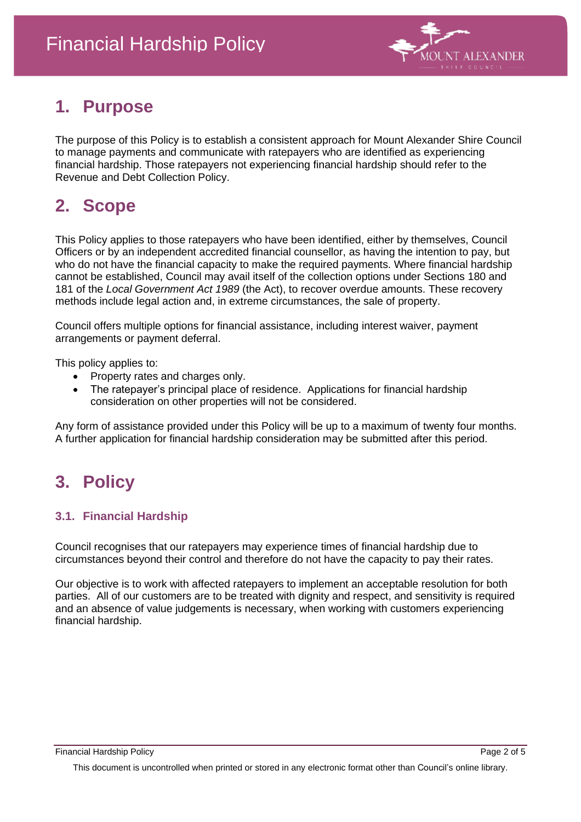

# **1. Purpose**

The purpose of this Policy is to establish a consistent approach for Mount Alexander Shire Council to manage payments and communicate with ratepayers who are identified as experiencing financial hardship. Those ratepayers not experiencing financial hardship should refer to the Revenue and Debt Collection Policy.

# **2. Scope**

This Policy applies to those ratepayers who have been identified, either by themselves, Council Officers or by an independent accredited financial counsellor, as having the intention to pay, but who do not have the financial capacity to make the required payments. Where financial hardship cannot be established, Council may avail itself of the collection options under Sections 180 and 181 of the *Local Government Act 1989* (the Act), to recover overdue amounts. These recovery methods include legal action and, in extreme circumstances, the sale of property.

Council offers multiple options for financial assistance, including interest waiver, payment arrangements or payment deferral.

This policy applies to:

- Property rates and charges only.
- The ratepayer's principal place of residence. Applications for financial hardship consideration on other properties will not be considered.

Any form of assistance provided under this Policy will be up to a maximum of twenty four months. A further application for financial hardship consideration may be submitted after this period.

# **3. Policy**

### **3.1. Financial Hardship**

Council recognises that our ratepayers may experience times of financial hardship due to circumstances beyond their control and therefore do not have the capacity to pay their rates.

Our objective is to work with affected ratepayers to implement an acceptable resolution for both parties. All of our customers are to be treated with dignity and respect, and sensitivity is required and an absence of value judgements is necessary, when working with customers experiencing financial hardship.

This document is uncontrolled when printed or stored in any electronic format other than Council's online library.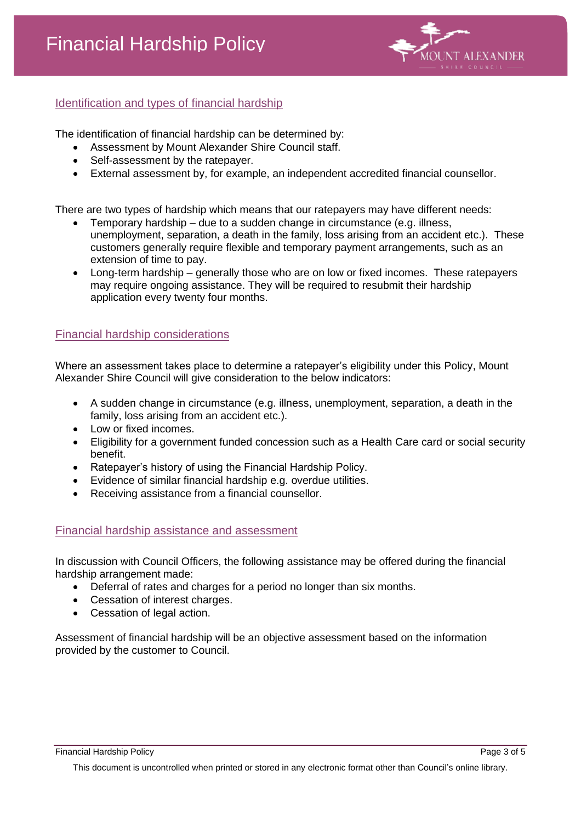

### Identification and types of financial hardship

The identification of financial hardship can be determined by:

- Assessment by Mount Alexander Shire Council staff.
- Self-assessment by the ratepayer.
- External assessment by, for example, an independent accredited financial counsellor.

There are two types of hardship which means that our ratepayers may have different needs:

- Temporary hardship due to a sudden change in circumstance (e.g. illness, unemployment, separation, a death in the family, loss arising from an accident etc.). These customers generally require flexible and temporary payment arrangements, such as an extension of time to pay.
- Long-term hardship generally those who are on low or fixed incomes. These ratepayers may require ongoing assistance. They will be required to resubmit their hardship application every twenty four months.

#### Financial hardship considerations

Where an assessment takes place to determine a ratepayer's eligibility under this Policy, Mount Alexander Shire Council will give consideration to the below indicators:

- A sudden change in circumstance (e.g. illness, unemployment, separation, a death in the family, loss arising from an accident etc.).
- Low or fixed incomes.
- Eligibility for a government funded concession such as a Health Care card or social security benefit.
- Ratepayer's history of using the Financial Hardship Policy.
- Evidence of similar financial hardship e.g. overdue utilities.
- Receiving assistance from a financial counsellor.

#### Financial hardship assistance and assessment

In discussion with Council Officers, the following assistance may be offered during the financial hardship arrangement made:

- Deferral of rates and charges for a period no longer than six months.
- Cessation of interest charges.
- Cessation of legal action.

Assessment of financial hardship will be an objective assessment based on the information provided by the customer to Council.

Financial Hardship Policy Page 3 of 5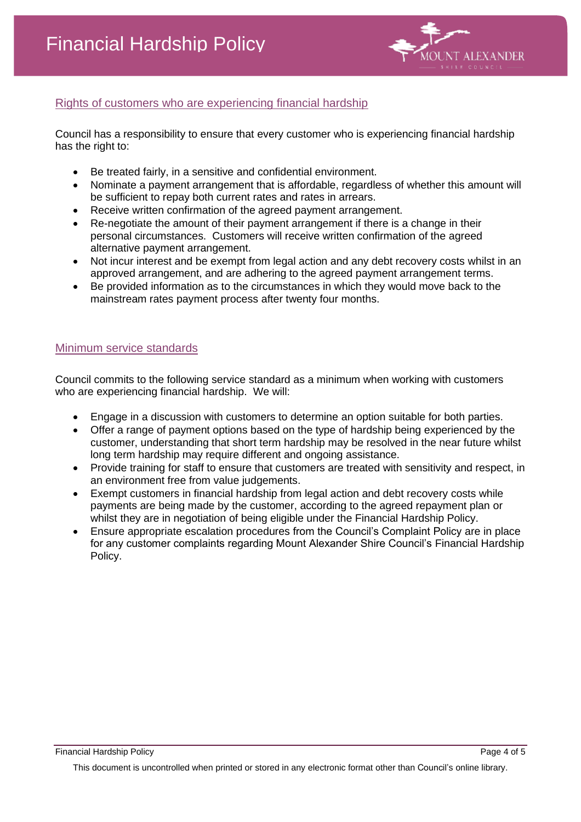

### Rights of customers who are experiencing financial hardship

Council has a responsibility to ensure that every customer who is experiencing financial hardship has the right to:

- Be treated fairly, in a sensitive and confidential environment.
- Nominate a payment arrangement that is affordable, regardless of whether this amount will be sufficient to repay both current rates and rates in arrears.
- Receive written confirmation of the agreed payment arrangement.
- Re-negotiate the amount of their payment arrangement if there is a change in their personal circumstances. Customers will receive written confirmation of the agreed alternative payment arrangement.
- Not incur interest and be exempt from legal action and any debt recovery costs whilst in an approved arrangement, and are adhering to the agreed payment arrangement terms.
- Be provided information as to the circumstances in which they would move back to the mainstream rates payment process after twenty four months.

#### Minimum service standards

Council commits to the following service standard as a minimum when working with customers who are experiencing financial hardship. We will:

- Engage in a discussion with customers to determine an option suitable for both parties.
- Offer a range of payment options based on the type of hardship being experienced by the customer, understanding that short term hardship may be resolved in the near future whilst long term hardship may require different and ongoing assistance.
- Provide training for staff to ensure that customers are treated with sensitivity and respect, in an environment free from value judgements.
- Exempt customers in financial hardship from legal action and debt recovery costs while payments are being made by the customer, according to the agreed repayment plan or whilst they are in negotiation of being eligible under the Financial Hardship Policy.
- Ensure appropriate escalation procedures from the Council's Complaint Policy are in place for any customer complaints regarding Mount Alexander Shire Council's Financial Hardship Policy.

Financial Hardship Policy Page 4 of 5

This document is uncontrolled when printed or stored in any electronic format other than Council's online library.